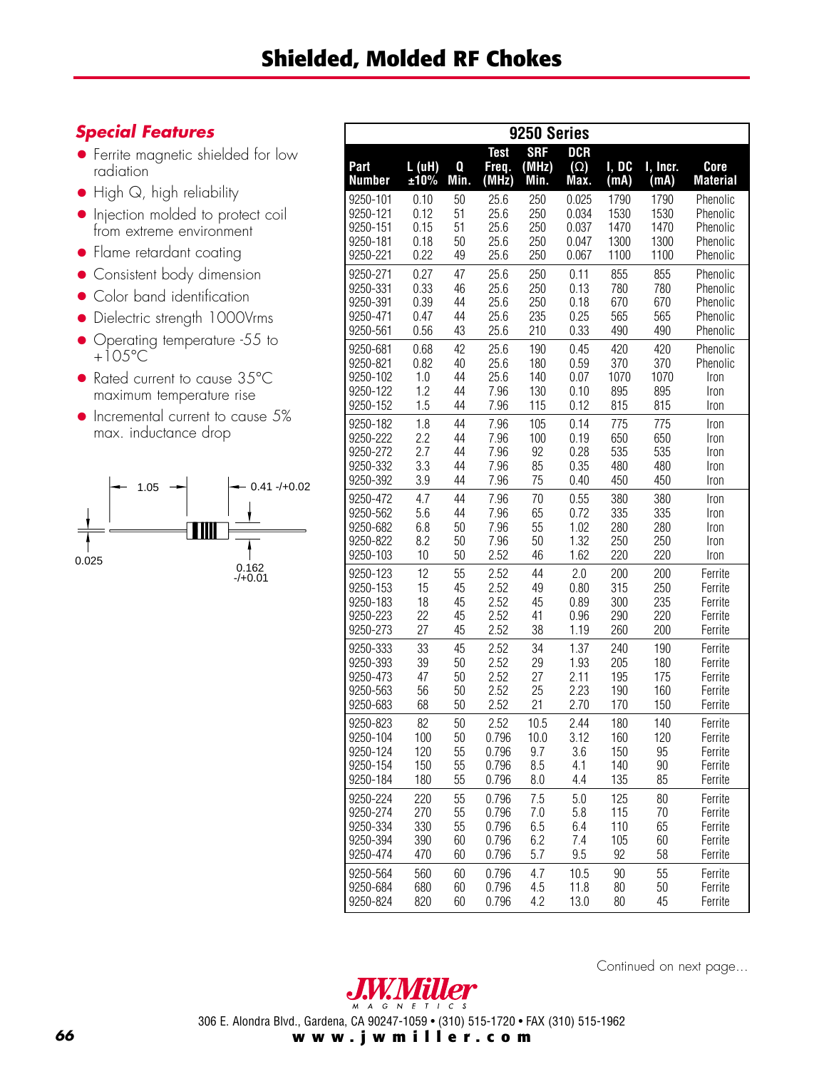## *Special Features*

- Ferrite magnetic shielded for low radiation
- High Q, high reliability
- Injection molded to protect coil from extreme environment
- Flame retardant coating
- Consistent body dimension
- Color band identification
- Dielectric strength 1000Vrms
- Operating temperature -55 to  $+105^{\circ}$ C
- Rated current to cause 35°C maximum temperature rise
- Incremental current to cause 5% max. inductance drop



| 9250 Series           |                |           |                               |                             |                                  |               |                  |                         |  |  |  |
|-----------------------|----------------|-----------|-------------------------------|-----------------------------|----------------------------------|---------------|------------------|-------------------------|--|--|--|
| Part<br><b>Number</b> | L( uH)<br>±10% | Q<br>Min. | <b>Test</b><br>Freq.<br>(MHz) | <b>SRF</b><br>(MHz)<br>Min. | <b>DCR</b><br>$(\Omega)$<br>Max. | I, DC<br>(mA) | I, Incr.<br>(mA) | Core<br><b>Material</b> |  |  |  |
| 9250-101              | 0.10           | 50        | 25.6                          | 250                         | 0.025                            | 1790          | 1790             | Phenolic                |  |  |  |
| 9250-121              | 0.12           | 51        | 25.6                          | 250                         | 0.034                            | 1530          | 1530             | Phenolic                |  |  |  |
| 9250-151              | 0.15           | 51        | 25.6                          | 250                         | 0.037                            | 1470          | 1470             | Phenolic                |  |  |  |
| 9250-181              | 0.18           | 50        | 25.6                          | 250                         | 0.047                            | 1300          | 1300             | Phenolic                |  |  |  |
| 9250-221              | 0.22           | 49        | 25.6                          | 250                         | 0.067                            | 1100          | 1100             | Phenolic                |  |  |  |
| 9250-271              | 0.27           | 47        | 25.6                          | 250                         | 0.11                             | 855           | 855              | Phenolic                |  |  |  |
| 9250-331              | 0.33           | 46        | 25.6                          | 250                         | 0.13                             | 780           | 780              | Phenolic                |  |  |  |
| 9250-391              | 0.39           | 44        | 25.6                          | 250                         | 0.18                             | 670           | 670              | Phenolic                |  |  |  |
| 9250-471              | 0.47           | 44        | 25.6                          | 235                         | 0.25                             | 565           | 565              | Phenolic                |  |  |  |
| 9250-561              | 0.56           | 43        | 25.6                          | 210                         | 0.33                             | 490           | 490              | Phenolic                |  |  |  |
| 9250-681              | 0.68           | 42        | 25.6                          | 190                         | 0.45                             | 420           | 420              | Phenolic                |  |  |  |
| 9250-821              | 0.82           | 40        | 25.6                          | 180                         | 0.59                             | 370           | 370              | Phenolic                |  |  |  |
| 9250-102              | 1.0            | 44        | 25.6                          | 140                         | 0.07                             | 1070          | 1070             | Iron                    |  |  |  |
| 9250-122              | 1.2            | 44        | 7.96                          | 130                         | 0.10                             | 895           | 895              | Iron                    |  |  |  |
| 9250-152              | 1.5            | 44        | 7.96                          | 115                         | 0.12                             | 815           | 815              | Iron                    |  |  |  |
| 9250-182              | 1.8            | 44        | 7.96                          | 105                         | 0.14                             | 775           | 775              | Iron                    |  |  |  |
| 9250-222              | 2.2            | 44        | 7.96                          | 100                         | 0.19                             | 650           | 650              | Iron                    |  |  |  |
| 9250-272              | 2.7            | 44        | 7.96                          | 92                          | 0.28                             | 535           | 535              | Iron                    |  |  |  |
| 9250-332              | 3.3            | 44        | 7.96                          | 85                          | 0.35                             | 480           | 480              | Iron                    |  |  |  |
| 9250-392              | 3.9            | 44        | 7.96                          | 75                          | 0.40                             | 450           | 450              | Iron                    |  |  |  |
| 9250-472              | 4.7            | 44        | 7.96                          | 70                          | 0.55                             | 380           | 380              | Iron                    |  |  |  |
| 9250-562              | 5.6            | 44        | 7.96                          | 65                          | 0.72                             | 335           | 335              | Iron                    |  |  |  |
| 9250-682              | 6.8            | 50        | 7.96                          | 55                          | 1.02                             | 280           | 280              | Iron                    |  |  |  |
| 9250-822              | 8.2            | 50        | 7.96                          | 50                          | 1.32                             | 250           | 250              | Iron                    |  |  |  |
| 9250-103              | 10             | 50        | 2.52                          | 46                          | 1.62                             | 220           | 220              | Iron                    |  |  |  |
| 9250-123              | 12             | 55        | 2.52                          | 44                          | 2.0                              | 200           | 200              | Ferrite                 |  |  |  |
| 9250-153              | 15             | 45        | 2.52                          | 49                          | 0.80                             | 315           | 250              | Ferrite                 |  |  |  |
| 9250-183              | 18             | 45        | 2.52                          | 45                          | 0.89                             | 300           | 235              | Ferrite                 |  |  |  |
| 9250-223              | 22             | 45        | 2.52                          | 41                          | 0.96                             | 290           | 220              | Ferrite                 |  |  |  |
| 9250-273              | 27             | 45        | 2.52                          | 38                          | 1.19                             | 260           | 200              | Ferrite                 |  |  |  |
| 9250-333              | 33             | 45        | 2.52                          | 34                          | 1.37                             | 240           | 190              | Ferrite                 |  |  |  |
| 9250-393              | 39             | 50        | 2.52                          | 29                          | 1.93                             | 205           | 180              | Ferrite                 |  |  |  |
| 9250-473              | 47             | 50        | 2.52                          | 27                          | 2.11                             | 195           | 175              | Ferrite                 |  |  |  |
| 9250-563              | 56             | 50        | 2.52                          | 25                          | 2.23                             | 190           | 160              | Ferrite                 |  |  |  |
| 9250-683              | 68             | 50        | 2.52                          | 21                          | 2.70                             | 170           | 150              | Ferrite                 |  |  |  |
| 9250-823              | 82             | 50        | 2.52                          | 10.5                        | 2.44                             | 180           | 140              | Ferrite                 |  |  |  |
| 9250-104              | 100            | 50        | 0.796                         | 10.0                        | 3.12                             | 160           | 120              | Ferrite                 |  |  |  |
| 9250-124              | 120            | 55        | 0.796                         | 9.7                         | 3.6                              | 150           | 95               | Ferrite                 |  |  |  |
| 9250-154              | 150            | 55        | 0.796                         | 8.5                         | 4.1                              | 140           | 90               | Ferrite                 |  |  |  |
| 9250-184              | 180            | 55        | 0.796                         | 8.0                         | 4.4                              | 135           | 85               | Ferrite                 |  |  |  |
| 9250-224              | 220            | 55        | 0.796                         | 7.5                         | 5.0                              | 125           | 80               | Ferrite                 |  |  |  |
| 9250-274              | 270            | 55        | 0.796                         | 7.0                         | 5.8                              | 115           | 70               | Ferrite                 |  |  |  |
| 9250-334              | 330            | 55        | 0.796                         | 6.5                         | 6.4                              | 110           | 65               | Ferrite                 |  |  |  |
| 9250-394              | 390            | 60        | 0.796                         | 6.2                         | 7.4                              | 105           | 60               | Ferrite                 |  |  |  |
| 9250-474              | 470            | 60        | 0.796                         | 5.7                         | 9.5                              | 92            | 58               | Ferrite                 |  |  |  |
| 9250-564              | 560            | 60        | 0.796                         | 4.7                         | 10.5                             | 90            | 55               | Ferrite                 |  |  |  |
| 9250-684              | 680            | 60        | 0.796                         | 4.5                         | 11.8                             | 80            | 50               | Ferrite                 |  |  |  |
| 9250-824              | 820            | 60        | 0.796                         | 4.2                         | 13.0                             | 80            | 45               | Ferrite                 |  |  |  |





306 E. Alondra Blvd., Gardena, CA 90247-1059 • (310) 515-1720 • FAX (310) 515-1962

**www.jwmiller.com**